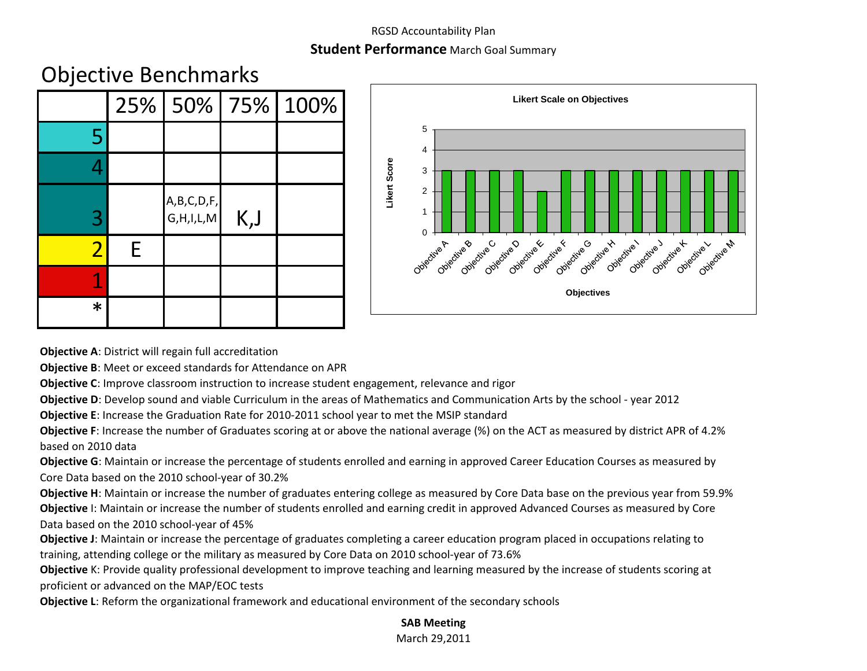#### RGSD Accountability Plan

### **Student Performance** March Goal Summary

# Objective Benchmarks

|                |   |                                 |      | 25% 50% 75% 100% |
|----------------|---|---------------------------------|------|------------------|
| 5              |   |                                 |      |                  |
|                |   |                                 |      |                  |
| 3              |   | A, B, C, D, F,<br>G, H, I, L, M | K, J |                  |
| $\overline{2}$ | F |                                 |      |                  |
|                |   |                                 |      |                  |
| $\ast$         |   |                                 |      |                  |



**Objective A**: District will regain full accreditation

**Objective B**: Meet or exceed standards for Attendance on APR

**Objective C**: Improve classroom instruction to increase student engagement, relevance and rigor

**Objective D**: Develop sound and viable Curriculum in the areas of Mathematics and Communication Arts by the school - year 2012

**Objective E**: Increase the Graduation Rate for 2010-2011 school year to met the MSIP standard

**Objective F**: Increase the number of Graduates scoring at or above the national average (%) on the ACT as measured by district APR of 4.2% based on 2010 data

**Objective G**: Maintain or increase the percentage of students enrolled and earning in approved Career Education Courses as measured by Core Data based on the 2010 school-year of 30.2%

**Objective H**: Maintain or increase the number of graduates entering college as measured by Core Data base on the previous year from 59.9% **Objective** I: Maintain or increase the number of students enrolled and earning credit in approved Advanced Courses as measured by Core Data based on the 2010 school-year of 45%

**Objective J**: Maintain or increase the percentage of graduates completing a career education program placed in occupations relating to training, attending college or the military as measured by Core Data on 2010 school-year of 73.6%

**Objective** K: Provide quality professional development to improve teaching and learning measured by the increase of students scoring at proficient or advanced on the MAP/EOC tests

**Objective L**: Reform the organizational framework and educational environment of the secondary schools

#### **SAB Meeting**

March 29,2011